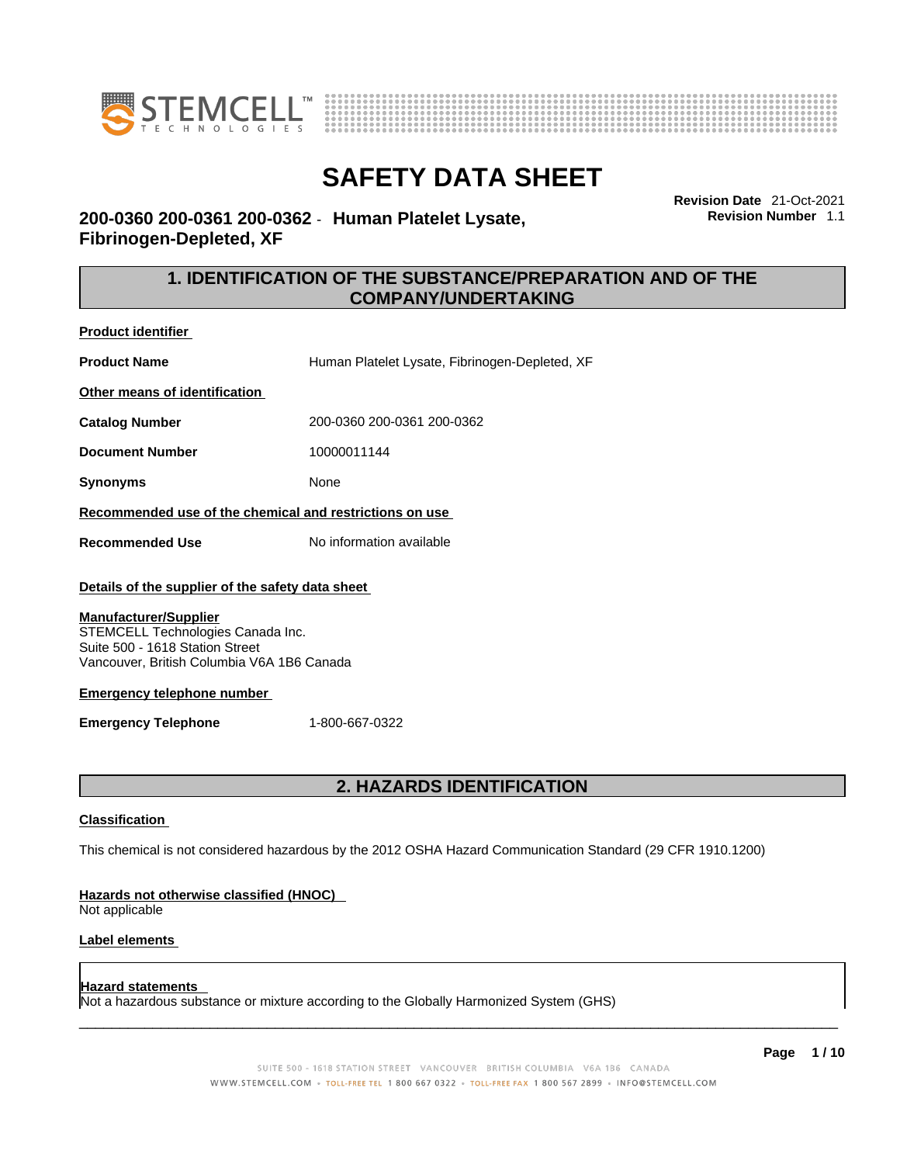



**Revision Date** 21-Oct-2021 **Revision Number** 1.1

# **200-0360 200-0361 200-0362** - **Human Platelet Lysate, Fibrinogen-Depleted, XF**

# **1. IDENTIFICATION OF THE SUBSTANCE/PREPARATION AND OF THE COMPANY/UNDERTAKING**

**Product identifier**

**Product Name Human Platelet Lysate, Fibrinogen-Depleted, XF** 

**Other means of identification**

**Catalog Number** 200-0360 200-0361 200-0362

**Document Number** 10000011144

**Synonyms** None

**Recommended use of the chemical and restrictions on use**

**Recommended Use** No information available

## **Details of the supplier of the safety data sheet**

#### **Manufacturer/Supplier**

STEMCELL Technologies Canada Inc. Suite 500 - 1618 Station Street Vancouver, British Columbia V6A 1B6 Canada

## **Emergency telephone number**

**Emergency Telephone** 1-800-667-0322

# **2. HAZARDS IDENTIFICATION**

## **Classification**

This chemical is not considered hazardous by the 2012 OSHA Hazard Communication Standard (29 CFR 1910.1200)

## **Hazards not otherwise classified (HNOC)**

Not applicable

## **Label elements**

## **Hazard statements**

Not a hazardous substance or mixture according to the Globally Harmonized System (GHS)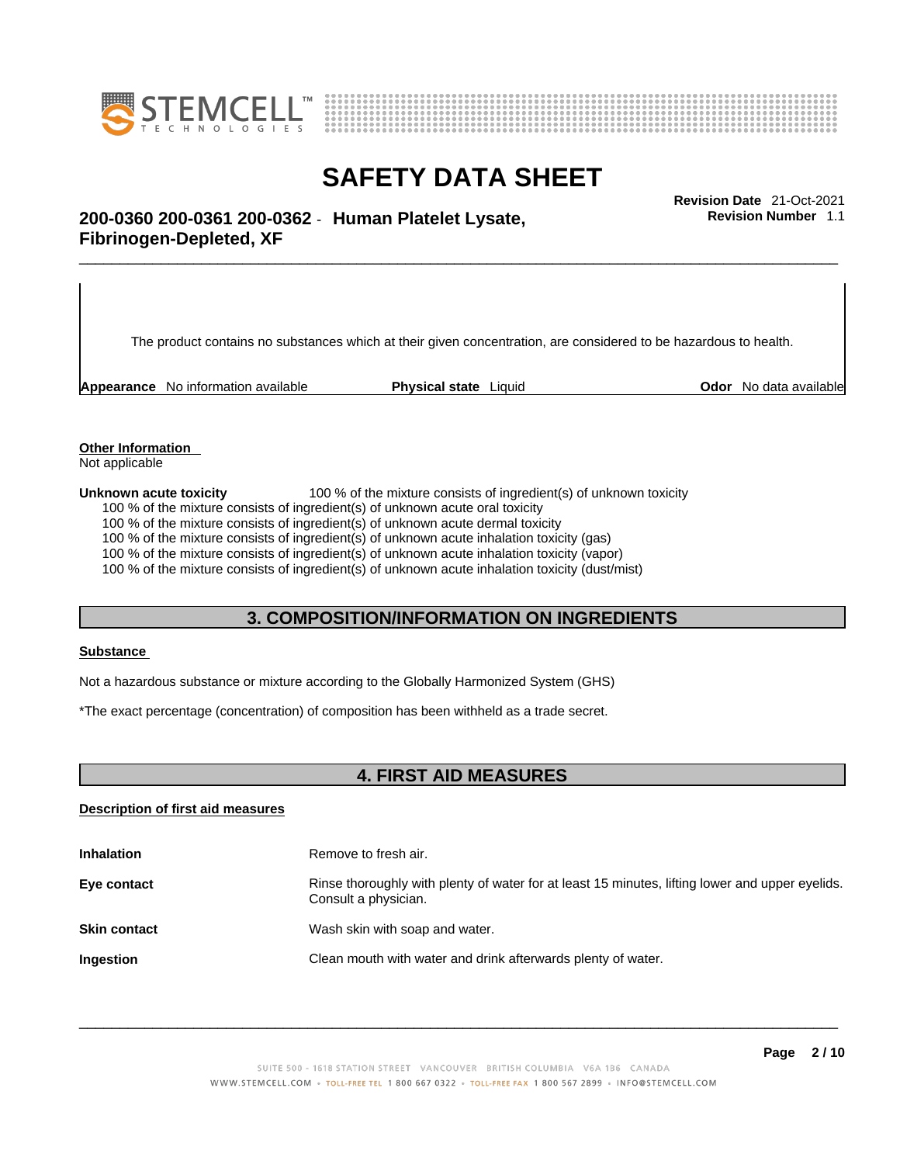



**Revision Number** 1.1

# \_\_\_\_\_\_\_\_\_\_\_\_\_\_\_\_\_\_\_\_\_\_\_\_\_\_\_\_\_\_\_\_\_\_\_\_\_\_\_\_\_\_\_\_\_\_\_\_\_\_\_\_\_\_\_\_\_\_\_\_\_\_\_\_\_\_\_\_\_\_\_\_\_\_\_\_\_\_\_\_\_\_\_\_\_\_\_\_\_\_\_\_\_ **Revision Date** 21-Oct-2021 **200-0360 200-0361 200-0362** - **Human Platelet Lysate, Fibrinogen-Depleted, XF**

The product contains no substances which at their given concentration, are considered to be hazardous to health.

**Appearance** No information available **Physical state** Liquid **Concernent Constants Constants and Durie Constants Constants Constants available** 

**Other Information** 

Not applicable

**Unknown acute toxicity** 100 % of the mixture consists of ingredient(s) of unknown toxicity

100 % of the mixture consists of ingredient(s) of unknown acute oral toxicity

100 % of the mixture consists of ingredient(s) of unknown acute dermal toxicity

100 % of the mixture consists of ingredient(s) of unknown acute inhalation toxicity (gas)

100 % of the mixture consists of ingredient(s) of unknown acute inhalation toxicity (vapor)

100 % of the mixture consists of ingredient(s) of unknown acute inhalation toxicity (dust/mist)

## **3. COMPOSITION/INFORMATION ON INGREDIENTS**

#### **Substance**

Not a hazardous substance or mixture according to the Globally Harmonized System (GHS)

\*The exact percentage (concentration) of composition has been withheld as a trade secret.

# **4. FIRST AID MEASURES**

## **Description of first aid measures**

| <b>Inhalation</b>   | Remove to fresh air.                                                                                                    |
|---------------------|-------------------------------------------------------------------------------------------------------------------------|
| Eye contact         | Rinse thoroughly with plenty of water for at least 15 minutes, lifting lower and upper eyelids.<br>Consult a physician. |
| <b>Skin contact</b> | Wash skin with soap and water.                                                                                          |
| Ingestion           | Clean mouth with water and drink afterwards plenty of water.                                                            |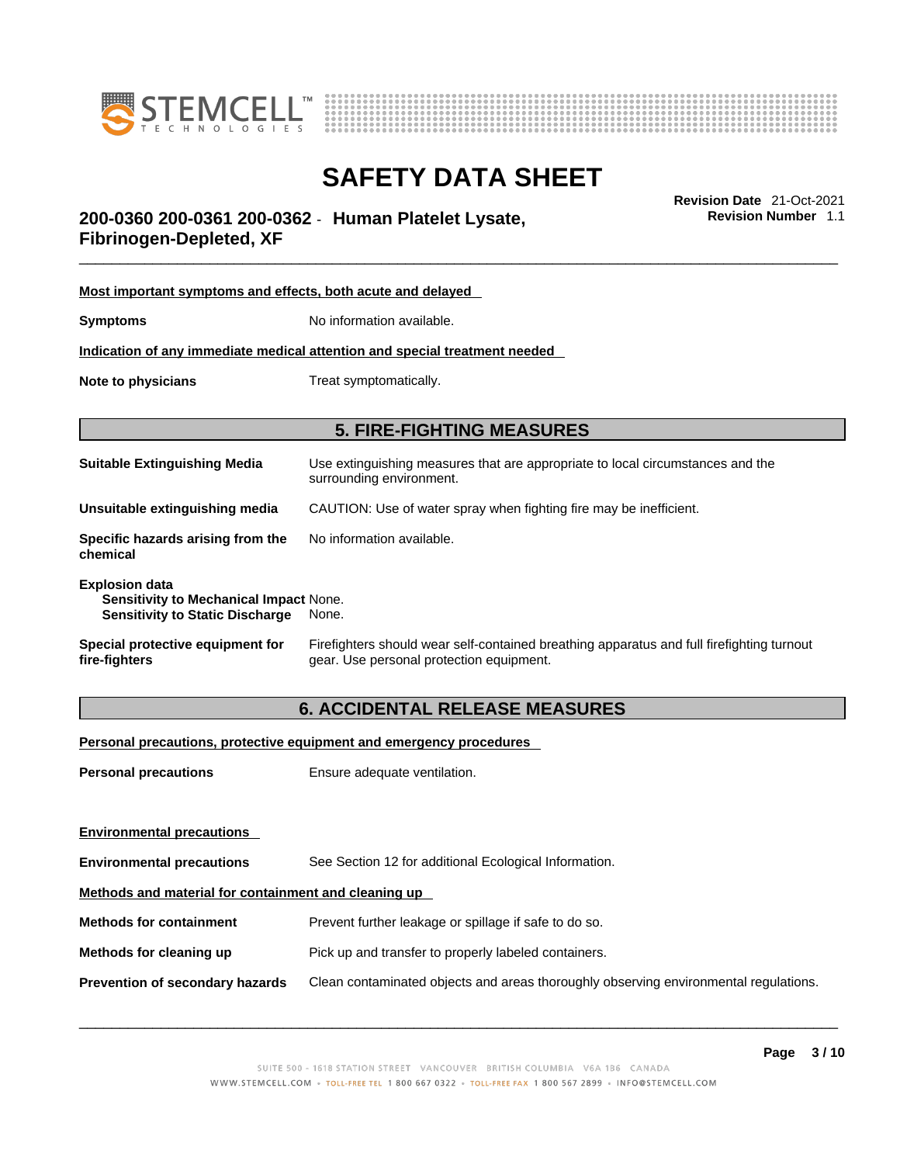



# \_\_\_\_\_\_\_\_\_\_\_\_\_\_\_\_\_\_\_\_\_\_\_\_\_\_\_\_\_\_\_\_\_\_\_\_\_\_\_\_\_\_\_\_\_\_\_\_\_\_\_\_\_\_\_\_\_\_\_\_\_\_\_\_\_\_\_\_\_\_\_\_\_\_\_\_\_\_\_\_\_\_\_\_\_\_\_\_\_\_\_\_\_ **Revision Date** 21-Oct-2021 **200-0360 200-0361 200-0362** - **Human Platelet Lysate, Fibrinogen-Depleted, XF**

**Most important symptoms and effects, both acute and delayed Symptoms** No information available. **Indication of any immediate medical attention and special treatment needed Note to physicians** Treat symptomatically. **5. FIRE-FIGHTING MEASURES Suitable Extinguishing Media** Use extinguishing measures that are appropriate to local circumstances and the surrounding environment. **Unsuitable extinguishing media** CAUTION: Use of water spray when fighting fire may be inefficient. **Specific hazards arising from the chemical** No information available. **Explosion data Sensitivity to Mechanical Impact** None. **Sensitivity to Static Discharge** None. **Special protective equipment for fire-fighters** Firefighters should wear self-contained breathing apparatus and full firefighting turnout gear. Use personal protection equipment.

# **6. ACCIDENTAL RELEASE MEASURES**

## **Personal precautions, protective equipment and emergency procedures**

| <b>Personal precautions</b>                          | Ensure adequate ventilation.                                                         |  |
|------------------------------------------------------|--------------------------------------------------------------------------------------|--|
| <b>Environmental precautions</b>                     |                                                                                      |  |
| <b>Environmental precautions</b>                     | See Section 12 for additional Ecological Information.                                |  |
| Methods and material for containment and cleaning up |                                                                                      |  |
| <b>Methods for containment</b>                       | Prevent further leakage or spillage if safe to do so.                                |  |
| Methods for cleaning up                              | Pick up and transfer to properly labeled containers.                                 |  |
| <b>Prevention of secondary hazards</b>               | Clean contaminated objects and areas thoroughly observing environmental regulations. |  |

 $\_$  ,  $\_$  ,  $\_$  ,  $\_$  ,  $\_$  ,  $\_$  ,  $\_$  ,  $\_$  ,  $\_$  ,  $\_$  ,  $\_$  ,  $\_$  ,  $\_$  ,  $\_$  ,  $\_$  ,  $\_$  ,  $\_$  ,  $\_$  ,  $\_$  ,  $\_$  ,  $\_$  ,  $\_$  ,  $\_$  ,  $\_$  ,  $\_$  ,  $\_$  ,  $\_$  ,  $\_$  ,  $\_$  ,  $\_$  ,  $\_$  ,  $\_$  ,  $\_$  ,  $\_$  ,  $\_$  ,  $\_$  ,  $\_$  ,

**Revision Number** 1.1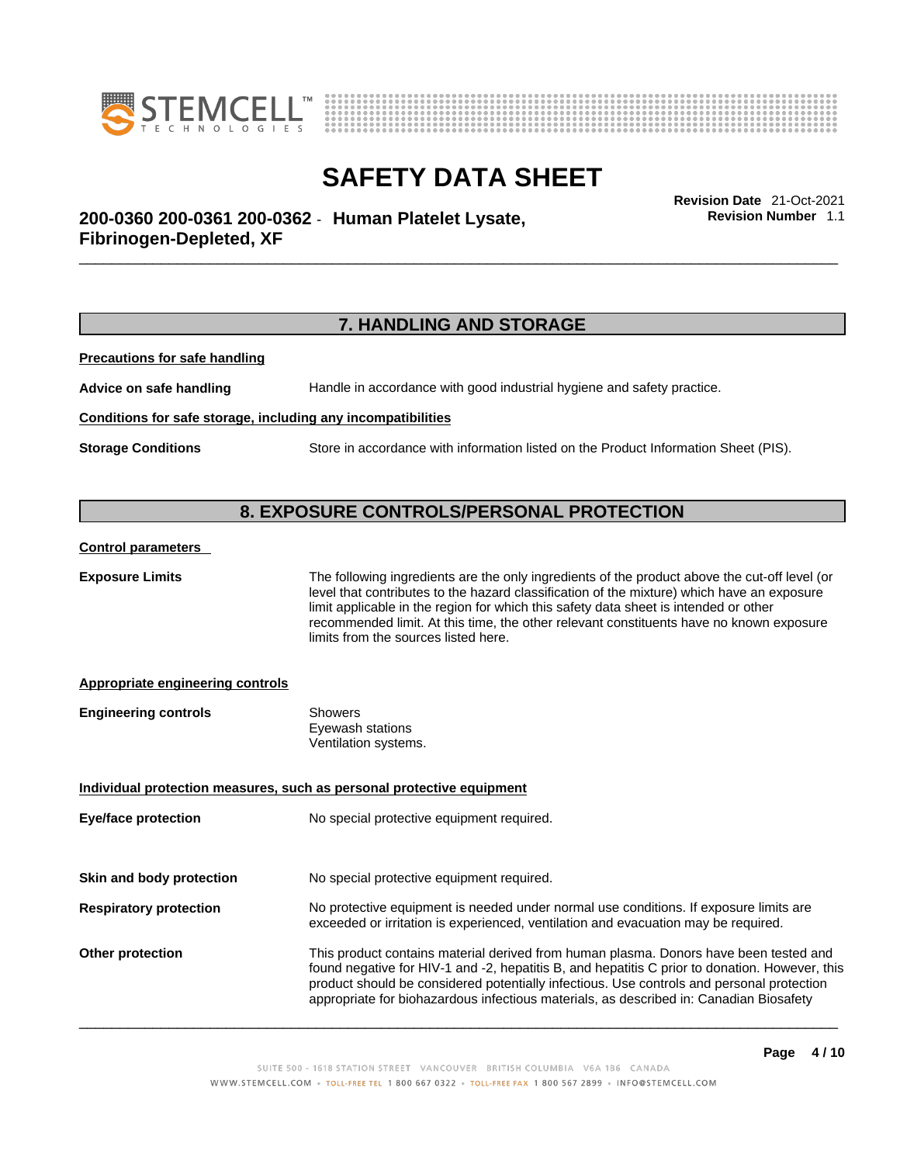



\_\_\_\_\_\_\_\_\_\_\_\_\_\_\_\_\_\_\_\_\_\_\_\_\_\_\_\_\_\_\_\_\_\_\_\_\_\_\_\_\_\_\_\_\_\_\_\_\_\_\_\_\_\_\_\_\_\_\_\_\_\_\_\_\_\_\_\_\_\_\_\_\_\_\_\_\_\_\_\_\_\_\_\_\_\_\_\_\_\_\_\_\_ **Revision Date** 21-Oct-2021 **200-0360 200-0361 200-0362** - **Human Platelet Lysate, Fibrinogen-Depleted, XF** 

# **7. HANDLING AND STORAGE**

**Precautions for safe handling**

**Advice on safe handling** Handle in accordance with good industrial hygiene and safety practice.

#### **Conditions for safe storage, including any incompatibilities**

**Storage Conditions** Store in accordance with information listed on the Product Information Sheet (PIS).

## **8. EXPOSURE CONTROLS/PERSONAL PROTECTION**

#### **Control parameters**

**Exposure Limits** The following ingredients are the only ingredients of the product above the cut-off level (or level that contributes to the hazard classification of the mixture) which have an exposure limit applicable in the region for which this safety data sheet is intended or other recommended limit. At this time, the other relevant constituents have no known exposure limits from the sources listed here.

appropriate for biohazardous infectious materials, as described in: Canadian Biosafety

## **Appropriate engineering controls**

| <b>Engineering controls</b> | Showers              |  |
|-----------------------------|----------------------|--|
|                             | Eyewash stations     |  |
|                             | Ventilation systems. |  |

# **Individual protection measures, such as personal protective equipment Eye/face protection** No special protective equipment required. **Skin and body protection** No special protective equipment required. **Respiratory protection** No protective equipment is needed under normal use conditions. If exposure limits are exceeded or irritation is experienced, ventilation and evacuation may be required. **Other protection** This product contains material derived from human plasma. Donors have been tested and found negative for HIV-1 and -2, hepatitis B, and hepatitis C prior to donation. However, this product should be considered potentially infectious. Use controls and personal protection

 $\_$  ,  $\_$  ,  $\_$  ,  $\_$  ,  $\_$  ,  $\_$  ,  $\_$  ,  $\_$  ,  $\_$  ,  $\_$  ,  $\_$  ,  $\_$  ,  $\_$  ,  $\_$  ,  $\_$  ,  $\_$  ,  $\_$  ,  $\_$  ,  $\_$  ,  $\_$  ,  $\_$  ,  $\_$  ,  $\_$  ,  $\_$  ,  $\_$  ,  $\_$  ,  $\_$  ,  $\_$  ,  $\_$  ,  $\_$  ,  $\_$  ,  $\_$  ,  $\_$  ,  $\_$  ,  $\_$  ,  $\_$  ,  $\_$  ,

**Revision Number** 1.1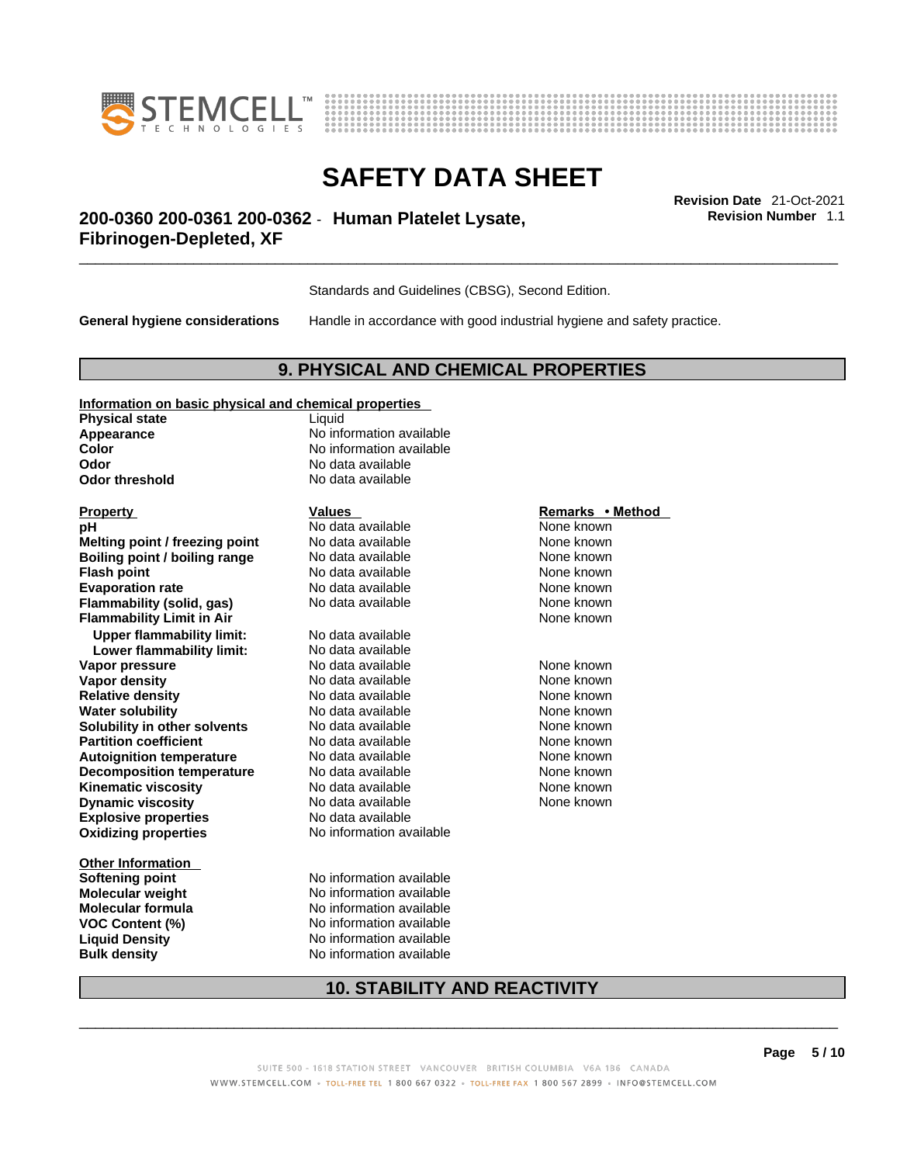



**Revision Number** 1.1

# \_\_\_\_\_\_\_\_\_\_\_\_\_\_\_\_\_\_\_\_\_\_\_\_\_\_\_\_\_\_\_\_\_\_\_\_\_\_\_\_\_\_\_\_\_\_\_\_\_\_\_\_\_\_\_\_\_\_\_\_\_\_\_\_\_\_\_\_\_\_\_\_\_\_\_\_\_\_\_\_\_\_\_\_\_\_\_\_\_\_\_\_\_ **Revision Date** 21-Oct-2021 **200-0360 200-0361 200-0362** - **Human Platelet Lysate, Fibrinogen-Depleted, XF**

Standards and Guidelines (CBSG), Second Edition.

**General hygiene considerations** Handle in accordance with good industrial hygiene and safety practice.

# **9. PHYSICAL AND CHEMICAL PROPERTIES**

## **Information on basic physical and chemical properties**

**Physical state** Liquid **Odor No data available**<br> **Odor threshold No data available** 

**Explosive properties** No data available **Oxidizing properties** No information available **pH Notata available Note known Melting point / freezing point** No data available None Known **Boiling point / boiling range** No data available None known<br> **Elash point None known**<br>
No data available None Known None known **Flash point**<br> **Flash point**<br> **Fvanoration rate** None Known<br>
No data available None Known<br>
None known **Evaporation rate Flammability (solid, gas)** No data available None Known None known **Flammability Limit in Air** None known **Upper flammability limit:** No data available **Lower flammability limit:** No data available **Vapor pressure No data available Mone known**<br> **Vapor density No data available** Mone known **None known Vapor density** No data available None known **Relative density Water solubility <br>
<b>Water solubility n** other **solvents** No data available **None known**<br>
None known **Solubility in other solvents** No data available None None known **Partition coefficient No data available Mone known Autoignition temperature No data available Mone Known** None known **Decomposition temperature** No data available None known **Kinematic viscosity**<br> **Community** No data available None known<br>
None known
No data available<br>
None known **Dynamic viscosity No data available None known** 

**Other Information** 

**Appearance** No information available **Color Color Color Color Color Color Color Color Color Color Color Color Color Color Color Color Color Color Color Color Color Color Color Color Color Color Color Color No data available** 

**Softening point** No information available **Molecular weight** No information available **Molecular formula**<br> **VOC Content (%)**<br>
No information available<br>
No information available **VOC Content (%)** No information available **Liquid Density** No information available **Bulk density No information available** 

## **Property Remarks •** Method **Values Remarks** •**Method**

# **10. STABILITY AND REACTIVITY**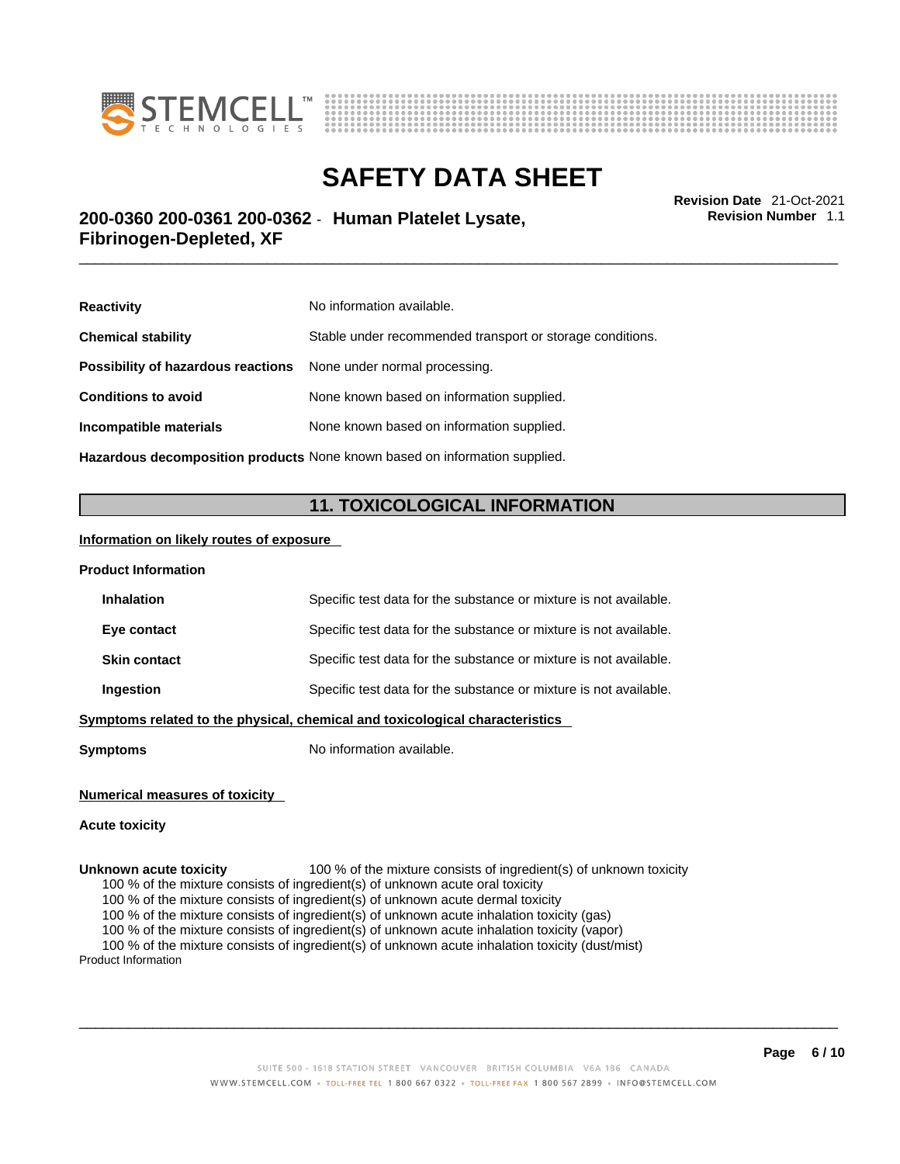



**Revision Number** 1.1

# \_\_\_\_\_\_\_\_\_\_\_\_\_\_\_\_\_\_\_\_\_\_\_\_\_\_\_\_\_\_\_\_\_\_\_\_\_\_\_\_\_\_\_\_\_\_\_\_\_\_\_\_\_\_\_\_\_\_\_\_\_\_\_\_\_\_\_\_\_\_\_\_\_\_\_\_\_\_\_\_\_\_\_\_\_\_\_\_\_\_\_\_\_ **Revision Date** 21-Oct-2021 **200-0360 200-0361 200-0362** - **Human Platelet Lysate, Fibrinogen-Depleted, XF**

| <b>Reactivity</b>                                                          | No information available.                                 |  |
|----------------------------------------------------------------------------|-----------------------------------------------------------|--|
| <b>Chemical stability</b>                                                  | Stable under recommended transport or storage conditions. |  |
| <b>Possibility of hazardous reactions</b> None under normal processing.    |                                                           |  |
| <b>Conditions to avoid</b>                                                 | None known based on information supplied.                 |  |
| Incompatible materials                                                     | None known based on information supplied.                 |  |
| Hazardous decomposition products None known based on information supplied. |                                                           |  |

# **11. TOXICOLOGICAL INFORMATION**

## **Information on likely routes of exposure**

| <b>Product Information</b> |                                                                              |
|----------------------------|------------------------------------------------------------------------------|
| <b>Inhalation</b>          | Specific test data for the substance or mixture is not available.            |
| Eye contact                | Specific test data for the substance or mixture is not available.            |
| <b>Skin contact</b>        | Specific test data for the substance or mixture is not available.            |
| <b>Ingestion</b>           | Specific test data for the substance or mixture is not available.            |
|                            | Symptoms related to the physical, chemical and toxicological characteristics |

**Symptoms** No information available.

## **Numerical measures of toxicity**

#### **Acute toxicity**

**Unknown acute toxicity** 100 % of the mixture consists of ingredient(s) of unknown toxicity

100 % of the mixture consists of ingredient(s) of unknown acute oral toxicity

100 % of the mixture consists of ingredient(s) of unknown acute dermal toxicity

100 % of the mixture consists of ingredient(s) of unknown acute inhalation toxicity (gas)

100 % of the mixture consists of ingredient(s) of unknown acute inhalation toxicity (vapor)

100 % of the mixture consists of ingredient(s) of unknown acute inhalation toxicity (dust/mist)

Product Information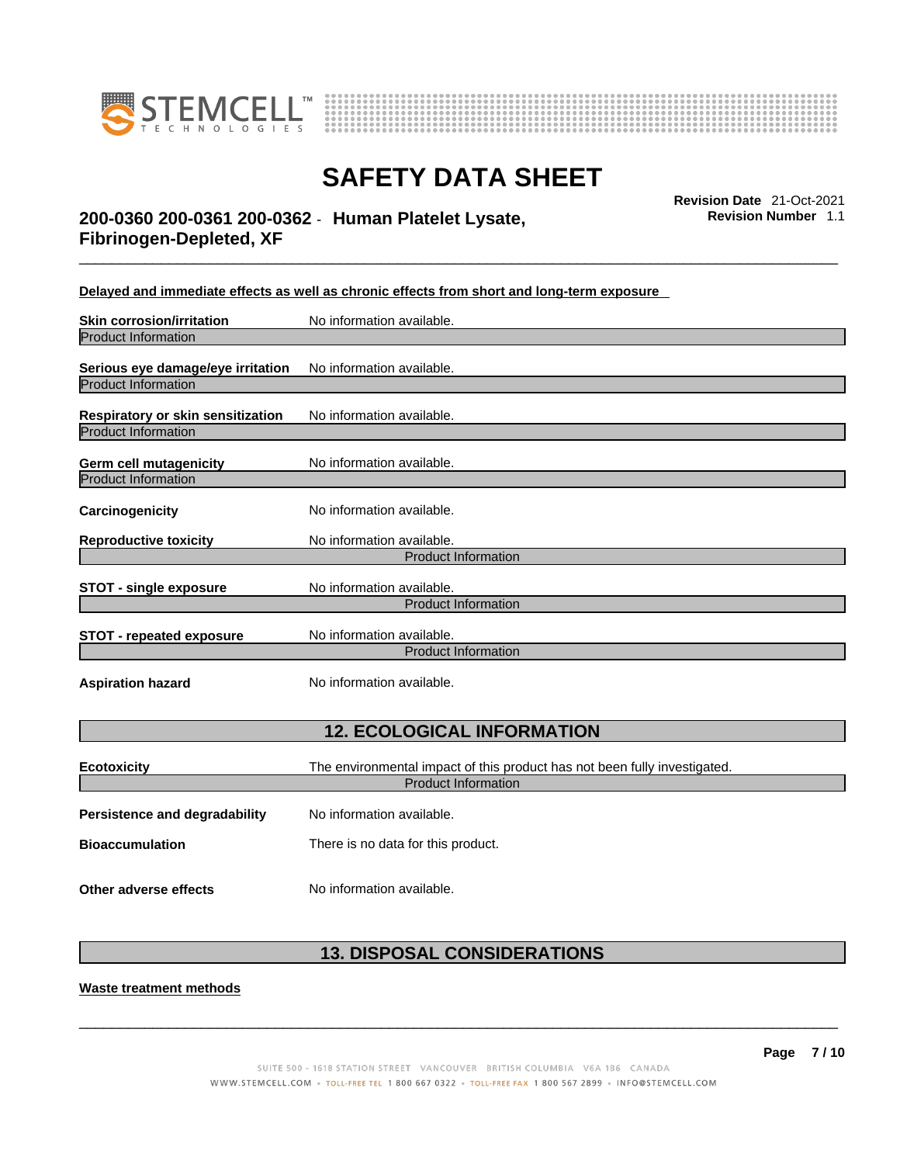



\_\_\_\_\_\_\_\_\_\_\_\_\_\_\_\_\_\_\_\_\_\_\_\_\_\_\_\_\_\_\_\_\_\_\_\_\_\_\_\_\_\_\_\_\_\_\_\_\_\_\_\_\_\_\_\_\_\_\_\_\_\_\_\_\_\_\_\_\_\_\_\_\_\_\_\_\_\_\_\_\_\_\_\_\_\_\_\_\_\_\_\_\_ **Revision Date** 21-Oct-2021 **200-0360 200-0361 200-0362** - **Human Platelet Lysate, Fibrinogen-Depleted, XF** 

**Revision Number** 1.1

**Delayed and immediate effects as well as chronic effects from short and long-term exposure**

| <b>Skin corrosion/irritation</b>                         | No information available.                                                 |  |
|----------------------------------------------------------|---------------------------------------------------------------------------|--|
| <b>Product Information</b>                               |                                                                           |  |
| Serious eye damage/eye irritation<br>Product Information | No information available.                                                 |  |
|                                                          |                                                                           |  |
| Respiratory or skin sensitization                        | No information available.                                                 |  |
| <b>Product Information</b>                               |                                                                           |  |
| <b>Germ cell mutagenicity</b>                            | No information available.                                                 |  |
| <b>Product Information</b>                               |                                                                           |  |
| Carcinogenicity                                          | No information available.                                                 |  |
| <b>Reproductive toxicity</b>                             | No information available.                                                 |  |
|                                                          | <b>Product Information</b>                                                |  |
| <b>STOT - single exposure</b>                            | No information available.                                                 |  |
|                                                          | <b>Product Information</b>                                                |  |
| <b>STOT - repeated exposure</b>                          | No information available.                                                 |  |
|                                                          | <b>Product Information</b>                                                |  |
| <b>Aspiration hazard</b>                                 | No information available.                                                 |  |
| <b>12. ECOLOGICAL INFORMATION</b>                        |                                                                           |  |
| <b>Ecotoxicity</b>                                       | The environmental impact of this product has not been fully investigated. |  |
| <b>Product Information</b>                               |                                                                           |  |
| <b>Persistence and degradability</b>                     | No information available.                                                 |  |
| <b>Bioaccumulation</b>                                   | There is no data for this product.                                        |  |
|                                                          |                                                                           |  |

# **13. DISPOSAL CONSIDERATIONS**

**Waste treatment methods**

**Other adverse effects** No information available.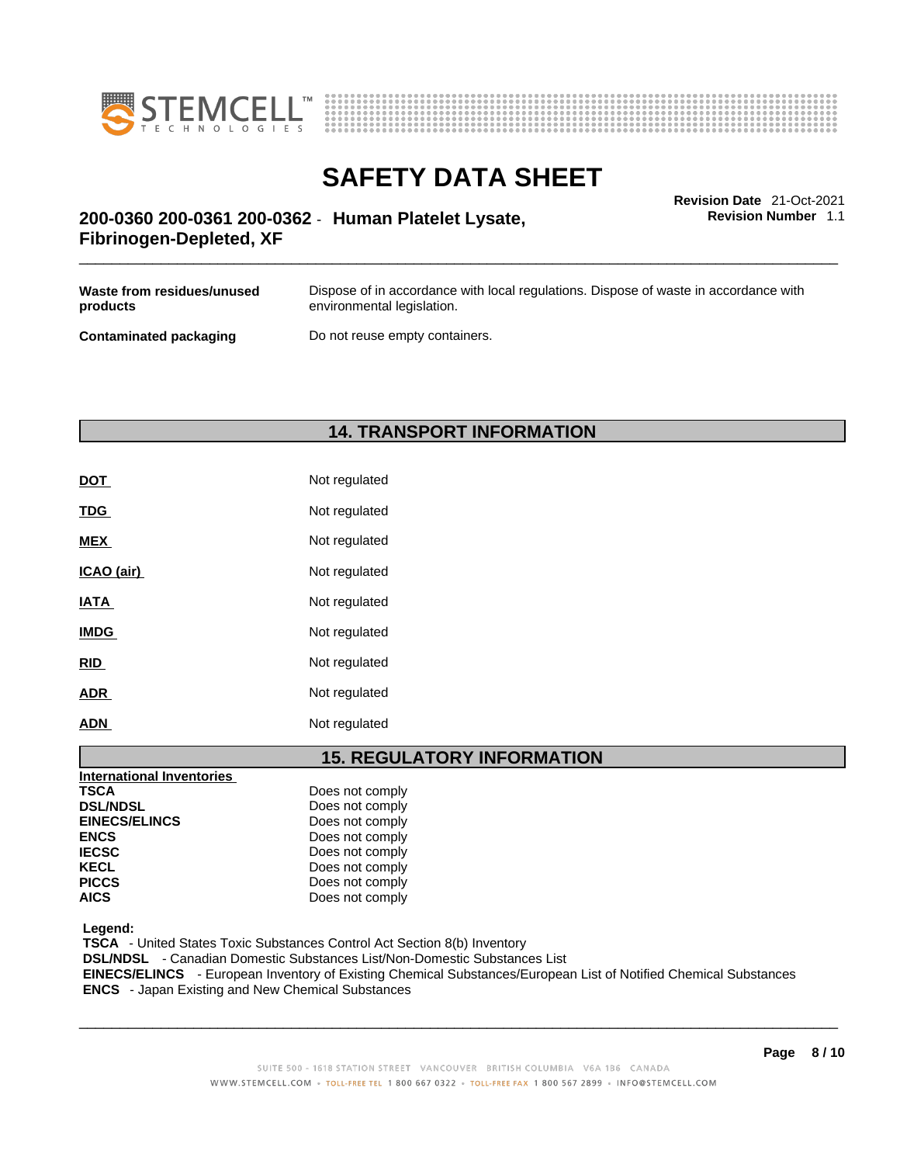



**Revision Number** 1.1

# \_\_\_\_\_\_\_\_\_\_\_\_\_\_\_\_\_\_\_\_\_\_\_\_\_\_\_\_\_\_\_\_\_\_\_\_\_\_\_\_\_\_\_\_\_\_\_\_\_\_\_\_\_\_\_\_\_\_\_\_\_\_\_\_\_\_\_\_\_\_\_\_\_\_\_\_\_\_\_\_\_\_\_\_\_\_\_\_\_\_\_\_\_ **Revision Date** 21-Oct-2021 **200-0360 200-0361 200-0362** - **Human Platelet Lysate, Fibrinogen-Depleted, XF**

| Waste from residues/unused    | Dispose of in accordance with local regulations. Dispose of waste in accordance with |
|-------------------------------|--------------------------------------------------------------------------------------|
| products                      | environmental legislation.                                                           |
| <b>Contaminated packaging</b> | Do not reuse empty containers.                                                       |

**14. TRANSPORT INFORMATION** 

| DOT         | Not regulated |
|-------------|---------------|
| <b>TDG</b>  | Not regulated |
| <b>MEX</b>  | Not regulated |
| ICAO (air)  | Not regulated |
| <b>IATA</b> | Not regulated |
| <b>IMDG</b> | Not regulated |
| <u>RID</u>  | Not regulated |
| <b>ADR</b>  | Not regulated |
| ADN         | Not regulated |

# **15. REGULATORY INFORMATION**

| International Inventories |                 |
|---------------------------|-----------------|
| <b>TSCA</b>               | Does not comply |
| <b>DSL/NDSL</b>           | Does not comply |
| <b>EINECS/ELINCS</b>      | Does not comply |
| <b>ENCS</b>               | Does not comply |
| <b>IECSC</b>              | Does not comply |
| <b>KECL</b>               | Does not comply |
| <b>PICCS</b>              | Does not comply |
| <b>AICS</b>               | Does not comply |

 **Legend:** 

 **TSCA** - United States Toxic Substances Control Act Section 8(b) Inventory

 **DSL/NDSL** - Canadian Domestic Substances List/Non-Domestic Substances List

 **EINECS/ELINCS** - European Inventory of Existing Chemical Substances/European List of Notified Chemical Substances  **ENCS** - Japan Existing and New Chemical Substances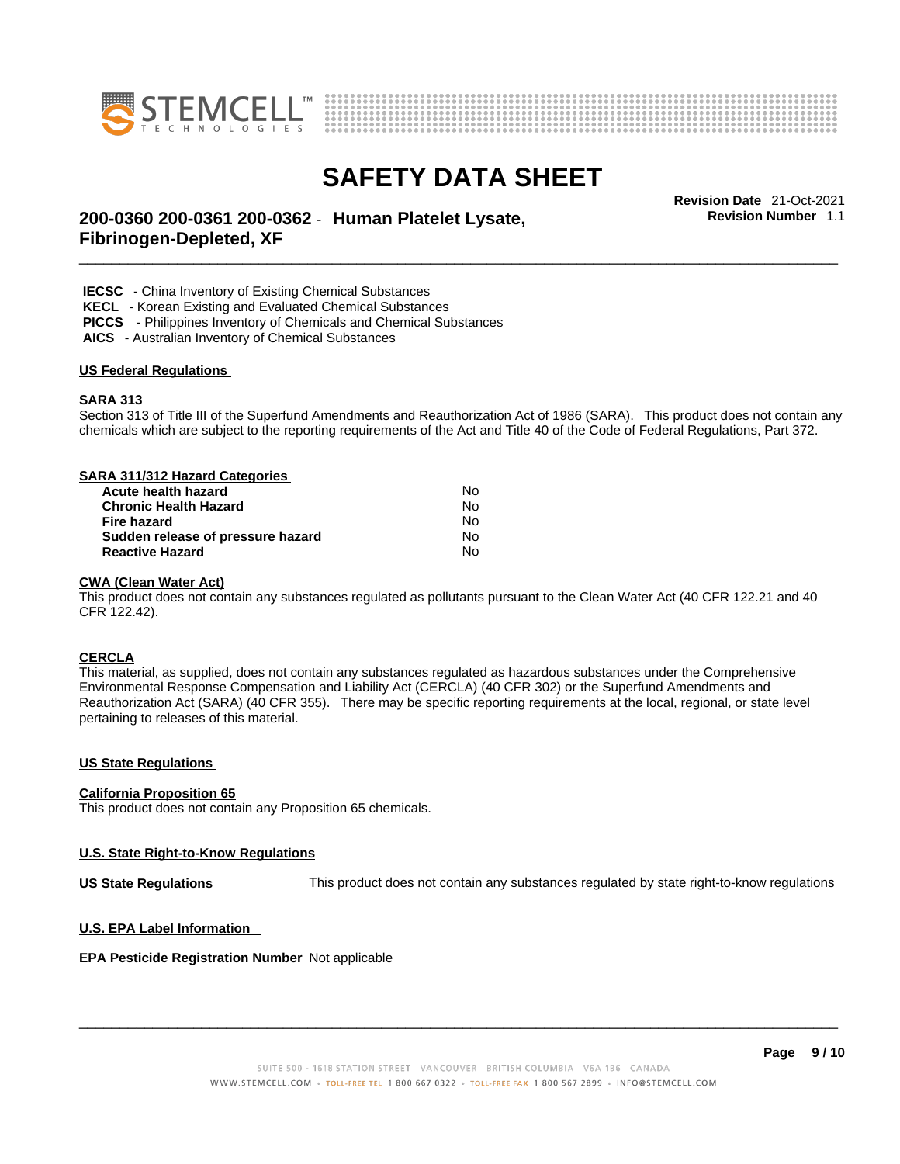



**Revision Number** 1.1

# \_\_\_\_\_\_\_\_\_\_\_\_\_\_\_\_\_\_\_\_\_\_\_\_\_\_\_\_\_\_\_\_\_\_\_\_\_\_\_\_\_\_\_\_\_\_\_\_\_\_\_\_\_\_\_\_\_\_\_\_\_\_\_\_\_\_\_\_\_\_\_\_\_\_\_\_\_\_\_\_\_\_\_\_\_\_\_\_\_\_\_\_\_ **Revision Date** 21-Oct-2021 **200-0360 200-0361 200-0362** - **Human Platelet Lysate, Fibrinogen-Depleted, XF**

 **IECSC** - China Inventory of Existing Chemical Substances

 **KECL** - Korean Existing and Evaluated Chemical Substances

 **PICCS** - Philippines Inventory of Chemicals and Chemical Substances

 **AICS** - Australian Inventory of Chemical Substances

#### **US Federal Regulations**

#### **SARA 313**

Section 313 of Title III of the Superfund Amendments and Reauthorization Act of 1986 (SARA). This product does not contain any chemicals which are subject to the reporting requirements of the Act and Title 40 of the Code of Federal Regulations, Part 372.

## **SARA 311/312 Hazard Categories**

| Acute health hazard               | Nο |  |
|-----------------------------------|----|--|
| <b>Chronic Health Hazard</b>      | N٥ |  |
| Fire hazard                       | N٥ |  |
| Sudden release of pressure hazard | N٥ |  |
| <b>Reactive Hazard</b>            | N٥ |  |

#### **CWA** (Clean Water Act)

This product does not contain any substances regulated as pollutants pursuant to the Clean Water Act (40 CFR 122.21 and 40 CFR 122.42).

## **CERCLA**

This material, as supplied, does not contain any substances regulated as hazardous substances under the Comprehensive Environmental Response Compensation and Liability Act (CERCLA) (40 CFR 302) or the Superfund Amendments and Reauthorization Act (SARA) (40 CFR 355). There may be specific reporting requirements at the local, regional, or state level pertaining to releases of this material.

#### **US State Regulations**

#### **California Proposition 65**

This product does not contain any Proposition 65 chemicals.

## **U.S. State Right-to-Know Regulations**

**US State Regulations** This product does not contain any substances regulated by state right-to-know regulations

#### **U.S. EPA Label Information**

#### **EPA Pesticide Registration Number** Not applicable